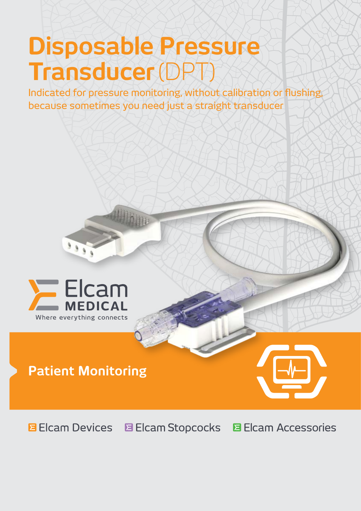# **Disposable Pressure Transducer**(DPT)

Indicated for pressure monitoring, without calibration or flushing, because sometimes you need just a straight transducer



# **Patient Monitoring**



**E** Elcam Devices **B** Elcam Stopcocks **El Cam Accessories**